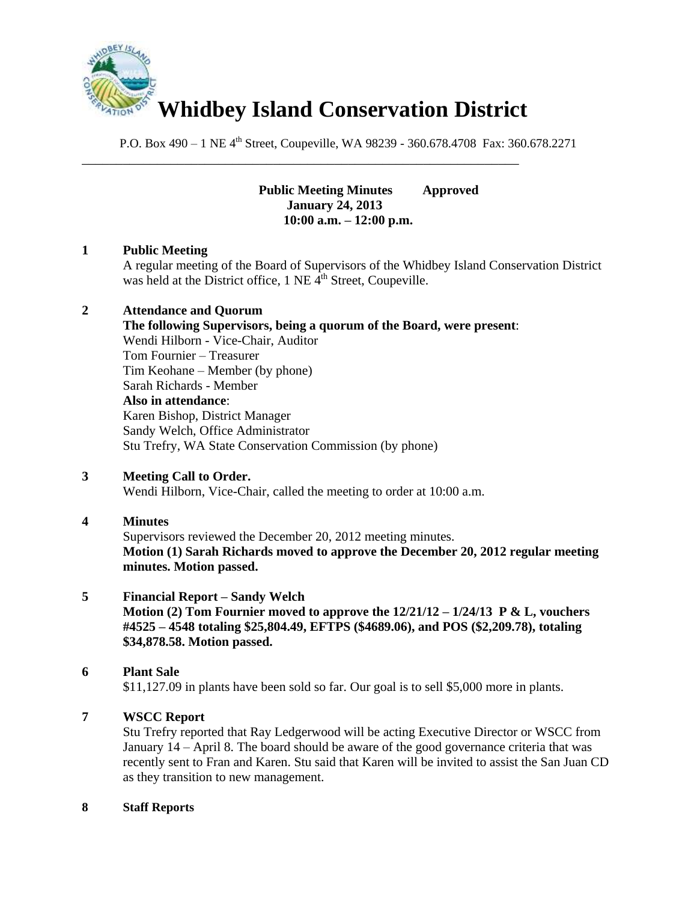

\_\_\_\_\_\_\_\_\_\_\_\_\_\_\_\_\_\_\_\_\_\_\_\_\_\_\_\_\_\_\_\_\_\_\_\_\_\_\_\_\_\_\_\_\_\_\_\_\_\_\_\_\_\_\_\_\_\_\_\_\_\_\_\_

P.O. Box 490 – 1 NE 4<sup>th</sup> Street, Coupeville, WA 98239 - 360.678.4708 Fax: 360.678.2271

**Public Meeting Minutes Approved January 24, 2013 10:00 a.m. – 12:00 p.m.**

## **1 Public Meeting**

A regular meeting of the Board of Supervisors of the Whidbey Island Conservation District was held at the District office,  $1$  NE  $\tilde{4}^{th}$  Street, Coupeville.

## **2 Attendance and Quorum**

**The following Supervisors, being a quorum of the Board, were present**: Wendi Hilborn - Vice-Chair, Auditor Tom Fournier – Treasurer Tim Keohane – Member (by phone) Sarah Richards - Member **Also in attendance**: Karen Bishop, District Manager Sandy Welch, Office Administrator Stu Trefry, WA State Conservation Commission (by phone)

## **3 Meeting Call to Order.**

Wendi Hilborn, Vice-Chair, called the meeting to order at 10:00 a.m.

## **4 Minutes**

Supervisors reviewed the December 20, 2012 meeting minutes. **Motion (1) Sarah Richards moved to approve the December 20, 2012 regular meeting minutes. Motion passed.**

## **5 Financial Report – Sandy Welch**

**Motion (2) Tom Fournier moved to approve the 12/21/12 – 1/24/13 P & L, vouchers #4525 – 4548 totaling \$25,804.49, EFTPS (\$4689.06), and POS (\$2,209.78), totaling \$34,878.58. Motion passed.**

# **6 Plant Sale**

\$11,127.09 in plants have been sold so far. Our goal is to sell \$5,000 more in plants.

# **7 WSCC Report**

Stu Trefry reported that Ray Ledgerwood will be acting Executive Director or WSCC from January 14 – April 8. The board should be aware of the good governance criteria that was recently sent to Fran and Karen. Stu said that Karen will be invited to assist the San Juan CD as they transition to new management.

## **8 Staff Reports**